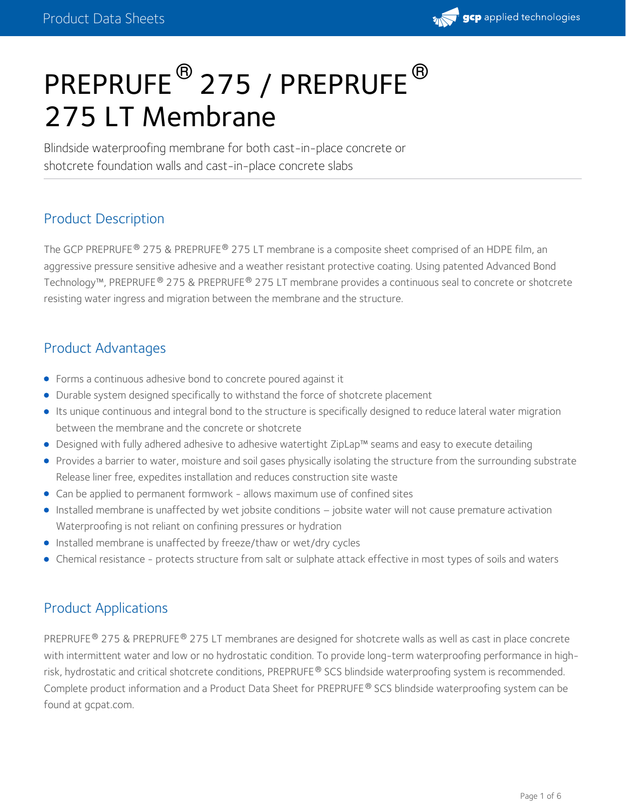

# PREPRUFE  $^\circledR$  275 / PREPRUFE  $^\circledR$ 275 LT Membrane

Blindside waterproofing membrane for both cast-in-place concrete or shotcrete foundation walls and cast-in-place concrete slabs

## Product Description

The GCP PREPRUFE® 275 & PREPRUFE® 275 LT membrane is a composite sheet comprised of an HDPE film, an aggressive pressure sensitive adhesive and a weather resistant protective coating. Using patented Advanced Bond Technology™, PREPRUFE® 275 & PREPRUFE® 275 LT membrane provides a continuous seal to concrete or shotcrete resisting water ingress and migration between the membrane and the structure.

## Product Advantages

- Forms a continuous adhesive bond to concrete poured against it
- Durable system designed specifically to withstand the force of shotcrete placement
- Its unique continuous and integral bond to the structure is specifically designed to reduce lateral water migration between the membrane and the concrete or shotcrete
- Designed with fully adhered adhesive to adhesive watertight ZipLap™ seams and easy to execute detailing
- **Provides a barrier to water, moisture and soil gases physically isolating the structure from the surrounding substrate** Release liner free, expedites installation and reduces construction site waste
- Can be applied to permanent formwork allows maximum use of confined sites
- Installed membrane is unaffected by wet jobsite conditions jobsite water will not cause premature activation Waterproofing is not reliant on confining pressures or hydration
- Installed membrane is unaffected by freeze/thaw or wet/dry cycles
- Chemical resistance protects structure from salt or sulphate attack effective in most types of soils and waters

## Product Applications

PREPRUFE® 275 & PREPRUFE® 275 LT membranes are designed for shotcrete walls as well as cast in place concrete with intermittent water and low or no hydrostatic condition. To provide long-term waterproofing performance in highrisk, hydrostatic and critical shotcrete conditions, PREPRUFE® SCS blindside waterproofing system is recommended. Complete product information and a Product Data Sheet for PREPRUFE® SCS blindside waterproofing system can be found at gcpat.com.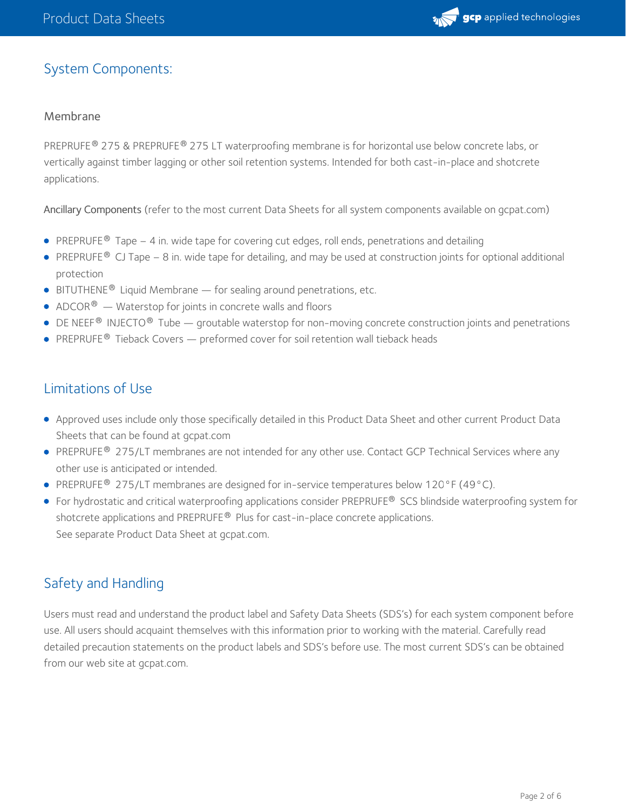

## System Components:

#### Membrane

PREPRUFE  $^{\circledR}$  275 & PREPRUFE  $^{\circledR}$  275 LT waterproofing membrane is for horizontal use below concrete labs, or vertically against timber lagging or other soil retention systems. Intended for both cast-in-place and shotcrete applications.

Ancillary Components (refer to the most current Data Sheets for all system components available on gcpat.com)

- PREPRUFE $^\circledR$  Tape  $-$  4 in. wide tape for covering cut edges, roll ends, penetrations and detailing
- PREPRUFE® CJ Tape 8 in. wide tape for detailing, and may be used at construction joints for optional additional protection
- $\bullet$  BITUTHENE<sup>®</sup> Liquid Membrane for sealing around penetrations, etc.
- ADCOR $^{\circledR}$  Waterstop for joints in concrete walls and floors
- $\bullet$  DE NEEF<sup>®</sup> INJECTO<sup>®</sup> Tube groutable waterstop for non-moving concrete construction joints and penetrations
- **PREPRUFE**<sup>®</sup> Tieback Covers  $-$  preformed cover for soil retention wall tieback heads

## Limitations of Use

- Approved uses include only those specifically detailed in this Product Data Sheet and other current Product Data Sheets that can be found at gcpat.com
- PREPRUFE® 275/LT membranes are not intended for any other use. Contact GCP Technical Services where any other use is anticipated or intended.
- PREPRUFE<sup>®</sup> 275/LT membranes are designed for in-service temperatures below 120°F (49°C).
- For hydrostatic and critical waterproofing applications consider <code>PREPRUFE® SCS</code> blindside waterproofing system for shotcrete applications and PREPRUFE® Plus for cast-in-place concrete applications.  $\,$ See separate Product Data Sheet at gcpat.com.

## Safety and Handling

Users must read and understand the product label and Safety Data Sheets (SDS's) for each system component before use. All users should acquaint themselves with this information prior to working with the material. Carefully read detailed precaution statements on the product labels and SDS's before use. The most current SDS's can be obtained from our web site at gcpat.com.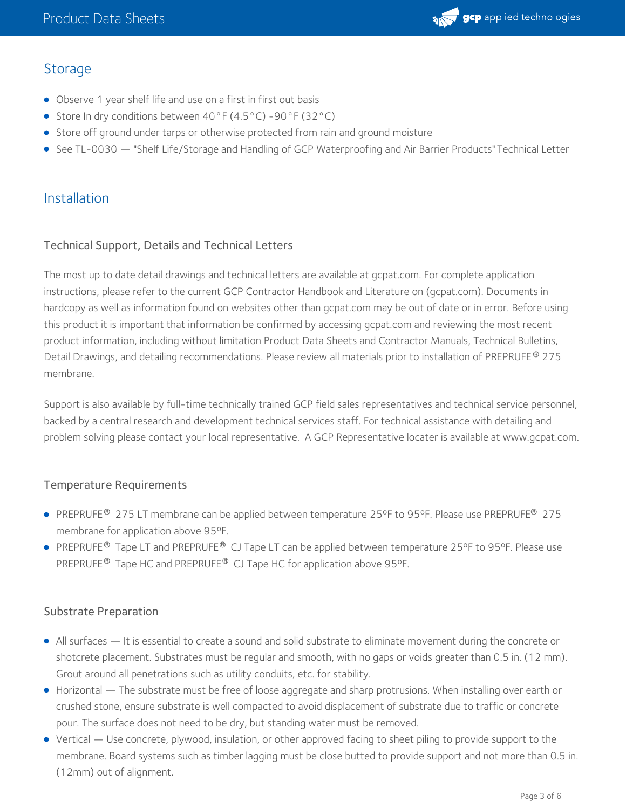

## **Storage**

- Observe 1 year shelf life and use on a first in first out basis
- Store In dry conditions between 40°F (4.5°C) -90°F (32°C)
- **Store off ground under tarps or otherwise protected from rain and ground moisture**
- See TL-0030 "Shelf Life/Storage and Handling of GCP [Waterproofing](https://ca.gcpat.com/solutions/products/preprufe-comprehensive-waterproofing-system/tl-0030-shelf-lifestorage-and) and Air Barrier Products" Technical Letter

## Installation

#### Technical Support, Details and Technical Letters

The most up to date detail drawings and technical letters are available at gcpat.com. For complete application instructions, please refer to the current GCP Contractor Handbook and Literature on (gcpat.com). Documents in hardcopy as well as information found on websites other than gcpat.com may be out of date or in error. Before using this product it is important that information be confirmed by accessing gcpat.com and reviewing the most recent product information, including without limitation Product Data Sheets and Contractor Manuals, Technical Bulletins, Detail Drawings, and detailing recommendations. Please review all materials prior to installation of PREPRUFE® 275 membrane.

Support is also available by full-time technically trained GCP field sales representatives and technical service personnel, backed by a central research and development technical services staff. For technical assistance with detailing and problem solving please contact your local representative. A GCP Representative locater is available at www.gcpat.com.

#### Temperature Requirements

- PREPRUFE® 275 LT membrane can be applied between temperature 25°F to 95°F. Please use PREPRUFE® 275 membrane for application above 95ºF.
- PREPRUFE® Tape LT and PREPRUFE® CJ Tape LT can be applied between temperature 25°F to 95°F. Please use PREPRUFE® Tape HC and PREPRUFE® CJ Tape HC for application above 95°F.

#### Substrate Preparation

- All surfaces It is essential to create a sound and solid substrate to eliminate movement during the concrete or shotcrete placement. Substrates must be regular and smooth, with no gaps or voids greater than 0.5 in. (12 mm). Grout around all penetrations such as utility conduits, etc. for stability.
- Horizontal The substrate must be free of loose aggregate and sharp protrusions. When installing over earth or crushed stone, ensure substrate is well compacted to avoid displacement of substrate due to traffic or concrete pour. The surface does not need to be dry, but standing water must be removed.
- Vertical Use concrete, plywood, insulation, or other approved facing to sheet piling to provide support to the membrane. Board systems such as timber lagging must be close butted to provide support and not more than 0.5 in. (12mm) out of alignment.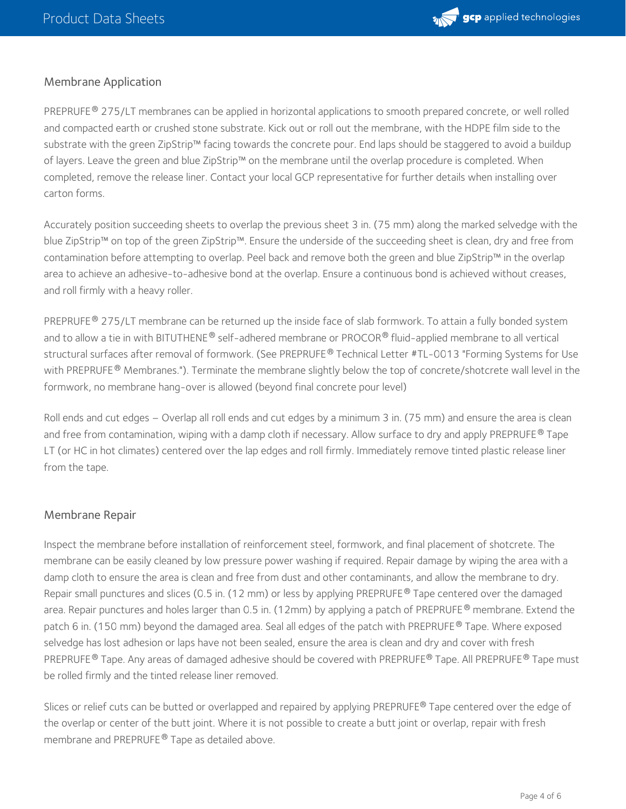

#### Membrane Application

PREPRUFE® 275/LT membranes can be applied in horizontal applications to smooth prepared concrete, or well rolled and compacted earth or crushed stone substrate. Kick out or roll out the membrane, with the HDPE film side to the substrate with the green ZipStrip™ facing towards the concrete pour. End laps should be staggered to avoid a buildup of layers. Leave the green and blue ZipStrip™ on the membrane until the overlap procedure is completed. When completed, remove the release liner. Contact your local GCP representative for further details when installing over carton forms.

Accurately position succeeding sheets to overlap the previous sheet 3 in. (75 mm) along the marked selvedge with the blue ZipStrip™ on top of the green ZipStrip™. Ensure the underside of the succeeding sheet is clean, dry and free from contamination before attempting to overlap. Peel back and remove both the green and blue ZipStrip™ in the overlap area to achieve an adhesive-to-adhesive bond at the overlap. Ensure a continuous bond is achieved without creases, and roll firmly with a heavy roller.

PREPRUFE® 275/LT membrane can be returned up the inside face of slab formwork. To attain a fully bonded system and to allow a tie in with BITUTHENE® self-adhered membrane or PROCOR® fluid-applied membrane to all vertical structural surfaces after removal of formwork. (See PREPRUFE® Technical Letter #TL-0013 "Forming Systems for Use with PREPRUFE  $^\circledR$  Membranes."). Terminate the membrane slightly below the top of concrete/shotcrete wall level in the formwork, no membrane hang-over is allowed (beyond final concrete pour level)

Roll ends and cut edges – Overlap all roll ends and cut edges by a minimum 3in. (75 mm) and ensure the area is clean and free from contamination, wiping with a damp cloth if necessary. Allow surface to dry and apply PREPRUFE® Tape LT (or HC in hot climates) centered over the lap edges and roll firmly. Immediately remove tinted plastic release liner from the tape.

#### Membrane Repair

Inspect the membrane before installation of reinforcement steel, formwork, and final placement of shotcrete. The membrane can be easily cleaned by low pressure power washing if required. Repair damage by wiping the area with a damp cloth to ensure the area is clean and free from dust and other contaminants, and allow the membrane to dry. Repair small punctures and slices (0.5 in. (12 mm) or less by applying PREPRUFE® Tape centered over the damaged area. Repair punctures and holes larger than 0.5 in. (12mm) by applying a patch of PREPRUFE® membrane. Extend the patch 6 in. (150 mm) beyond the damaged area. Seal all edges of the patch with PREPRUFE  $^\circ$  Tape. Where exposed selvedge has lost adhesion or laps have not been sealed, ensure the area is clean and dry and cover with fresh PREPRUFE® Tape. Any areas of damaged adhesive should be covered with PREPRUFE® Tape. All PREPRUFE® Tape must be rolled firmly and the tinted release liner removed.

Slices or relief cuts can be butted or overlapped and repaired by applying PREPRUFE® Tape centered over the edge of the overlap or center of the butt joint. Where it is not possible to create a butt joint or overlap, repair with fresh membrane and PREPRUFE® Tape as detailed above.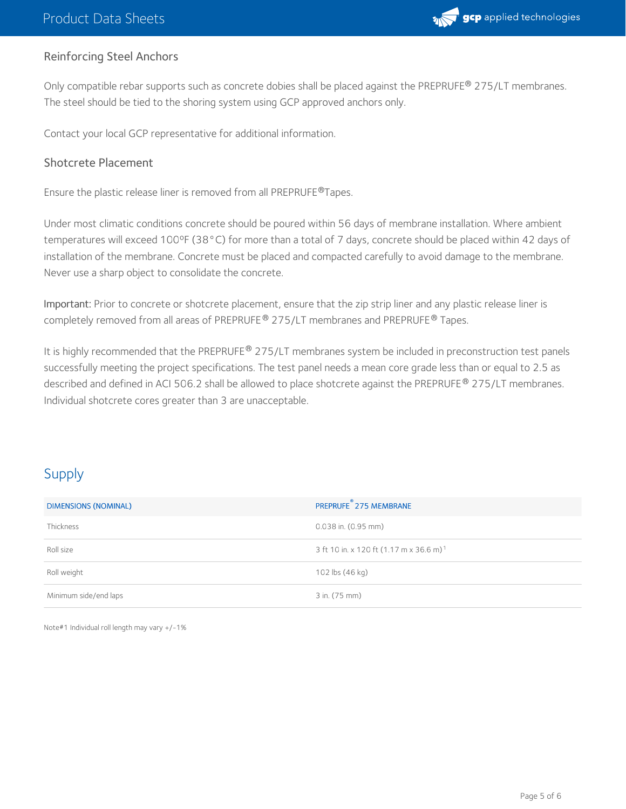

## Reinforcing Steel Anchors

Only compatible rebar supports such as concrete dobies shall be placed against the PREPRUFE® 275/LT membranes. The steel should be tied to the shoring system using GCP approved anchors only.

Contact your local GCP representative for additional information.

### Shotcrete Placement

Ensure the plastic release liner is removed from all PREPRUFE®Tapes.

Under most climatic conditions concrete should be poured within 56 days of membrane installation. Where ambient temperatures will exceed 100ºF (38°C) for more than a total of 7 days, concrete should be placed within 42 days of installation of the membrane. Concrete must be placed and compacted carefully to avoid damage to the membrane. Never use a sharp object to consolidate the concrete.

Important: Prior to concrete or shotcrete placement, ensure that the zip strip liner and any plastic release liner is completely removed from all areas of PREPRUFE® 275/LT membranes and PREPRUFE® Tapes.

It is highly recommended that the PREPRUFE® 275/LT membranes system be included in preconstruction test panels successfully meeting the project specifications. The test panel needs a mean core grade less than or equal to 2.5 as described and defined in ACI 506.2 shall be allowed to place shotcrete against the PREPRUFE® 275/LT membranes. Individual shotcrete cores greater than 3 are unacceptable.

# Supply

| <b>DIMENSIONS (NOMINAL)</b> | ⊛<br>PREPRUFE 275 MEMBRANE                          |  |
|-----------------------------|-----------------------------------------------------|--|
| <b>Thickness</b>            | $0.038$ in. $(0.95$ mm)                             |  |
| Roll size                   | 3 ft 10 in. x 120 ft (1.17 m x 36.6 m) <sup>1</sup> |  |
| Roll weight                 | 102 lbs (46 kg)                                     |  |
| Minimum side/end laps       | 3 in. (75 mm)                                       |  |

Note#1 Individual roll length may vary +/-1%